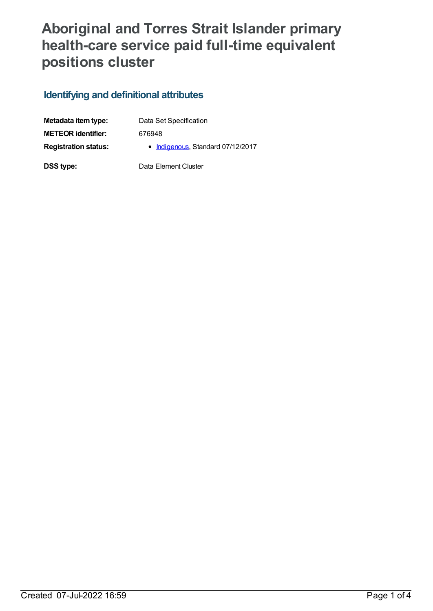## **Aboriginal and Torres Strait Islander primary health-care service paid full-time equivalent positions cluster**

## **Identifying and definitional attributes**

| Metadata item type:         | Data Set Specification            |  |
|-----------------------------|-----------------------------------|--|
| <b>METEOR identifier:</b>   | 676948                            |  |
| <b>Registration status:</b> | • Indigenous, Standard 07/12/2017 |  |
| DSS type:                   | Data Element Cluster              |  |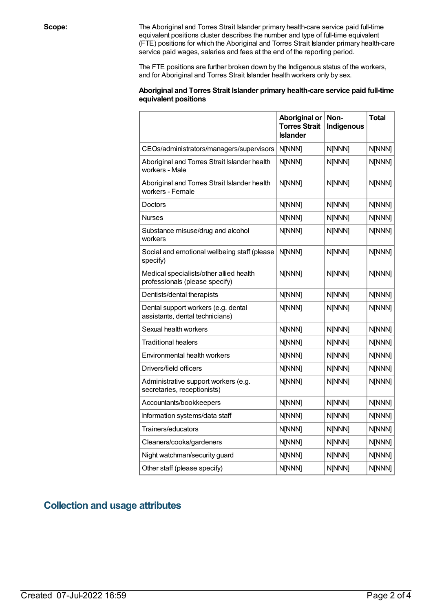**Scope:** The Aboriginal and Torres Strait Islander primary health-care service paid full-time equivalent positions cluster describes the number and type of full-time equivalent (FTE) positions for which the Aboriginal and Torres Strait Islander primary health-care service paid wages, salaries and fees at the end of the reporting period.

> The FTE positions are further broken down by the Indigenous status of the workers, and for Aboriginal and Torres Strait Islander health workers only by sex.

## **Aboriginal and Torres Strait Islander primary health-care service paid full-time equivalent positions**

|                                                                           | Aboriginal or<br><b>Torres Strait</b><br><b>Islander</b> | Non-<br>Indigenous | <b>Total</b> |
|---------------------------------------------------------------------------|----------------------------------------------------------|--------------------|--------------|
| CEOs/administrators/managers/supervisors                                  | N[NNN]                                                   | N[NNN]             | N[NNN]       |
| Aboriginal and Torres Strait Islander health<br>workers - Male            | N[NNN]                                                   | N[NNN]             | N[NNN]       |
| Aboriginal and Torres Strait Islander health<br>workers - Female          | N[NNN]                                                   | N[NNN]             | N[NNN]       |
| Doctors                                                                   | N[NNN]                                                   | N[NNN]             | N[NNN]       |
| <b>Nurses</b>                                                             | N[NNN]                                                   | N[NNN]             | N[NNN]       |
| Substance misuse/drug and alcohol<br>workers                              | N[NNN]                                                   | N[NNN]             | N[NNN]       |
| Social and emotional wellbeing staff (please<br>specify)                  | N[NNN]                                                   | N[NNN]             | N[NNN]       |
| Medical specialists/other allied health<br>professionals (please specify) | N[NNN]                                                   | N[NNN]             | N[NNN]       |
| Dentists/dental therapists                                                | N[NNN]                                                   | N[NNN]             | N[NNN]       |
| Dental support workers (e.g. dental<br>assistants, dental technicians)    | N[NNN]                                                   | N[NNN]             | N[NNN]       |
| Sexual health workers                                                     | N[NNN]                                                   | N[NNN]             | N[NNN]       |
| <b>Traditional healers</b>                                                | N[NNN]                                                   | N[NNN]             | N[NNN]       |
| Environmental health workers                                              | N[NNN]                                                   | N[NNN]             | N[NNN]       |
| Drivers/field officers                                                    | N[NNN]                                                   | N[NNN]             | N[NNN]       |
| Administrative support workers (e.g.<br>secretaries, receptionists)       | N[NNN]                                                   | N[NNN]             | N[NNN]       |
| Accountants/bookkeepers                                                   | N[NNN]                                                   | N[NNN]             | N[NNN]       |
| Information systems/data staff                                            | N[NNN]                                                   | N[NNN]             | N[NNN]       |
| Trainers/educators                                                        | N[NNN]                                                   | N[NNN]             | N[NNN]       |
| Cleaners/cooks/gardeners                                                  | N[NNN]                                                   | N[NNN]             | N[NNN]       |
| Night watchman/security guard                                             | N[NNN]                                                   | N[NNN]             | N[NNN]       |
| Other staff (please specify)                                              | N[NNN]                                                   | N[NNN]             | N[NNN]       |

## **Collection and usage attributes**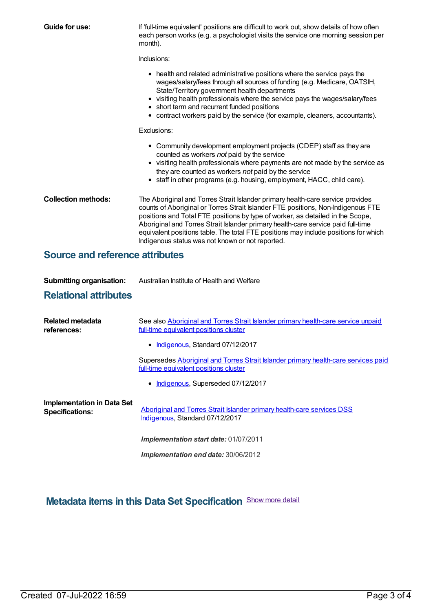| Guide for use:                                              | If 'full-time equivalent' positions are difficult to work out, show details of how often<br>each person works (e.g. a psychologist visits the service one morning session per<br>month).                                                                                                                                                                                                                                                                                            |  |  |  |
|-------------------------------------------------------------|-------------------------------------------------------------------------------------------------------------------------------------------------------------------------------------------------------------------------------------------------------------------------------------------------------------------------------------------------------------------------------------------------------------------------------------------------------------------------------------|--|--|--|
|                                                             | Inclusions:                                                                                                                                                                                                                                                                                                                                                                                                                                                                         |  |  |  |
|                                                             | • health and related administrative positions where the service pays the<br>wages/salary/fees through all sources of funding (e.g. Medicare, OATSIH,<br>State/Territory government health departments<br>• visiting health professionals where the service pays the wages/salary/fees<br>short term and recurrent funded positions<br>• contract workers paid by the service (for example, cleaners, accountants).                                                                  |  |  |  |
|                                                             | Exclusions:                                                                                                                                                                                                                                                                                                                                                                                                                                                                         |  |  |  |
|                                                             | • Community development employment projects (CDEP) staff as they are<br>counted as workers not paid by the service<br>• visiting health professionals where payments are not made by the service as<br>they are counted as workers not paid by the service<br>• staff in other programs (e.g. housing, employment, HACC, child care).                                                                                                                                               |  |  |  |
| <b>Collection methods:</b>                                  | The Aboriginal and Torres Strait Islander primary health-care service provides<br>counts of Aboriginal or Torres Strait Islander FTE positions, Non-Indigenous FTE<br>positions and Total FTE positions by type of worker, as detailed in the Scope,<br>Aboriginal and Torres Strait Islander primary health-care service paid full-time<br>equivalent positions table. The total FTE positions may include positions for which<br>Indigenous status was not known or not reported. |  |  |  |
| <b>Source and reference attributes</b>                      |                                                                                                                                                                                                                                                                                                                                                                                                                                                                                     |  |  |  |
| <b>Submitting organisation:</b>                             | Australian Institute of Health and Welfare                                                                                                                                                                                                                                                                                                                                                                                                                                          |  |  |  |
| <b>Relational attributes</b>                                |                                                                                                                                                                                                                                                                                                                                                                                                                                                                                     |  |  |  |
| <b>Related metadata</b><br>references:                      | See also Aboriginal and Torres Strait Islander primary health-care service unpaid<br>full-time equivalent positions cluster                                                                                                                                                                                                                                                                                                                                                         |  |  |  |
|                                                             | Indigenous, Standard 07/12/2017                                                                                                                                                                                                                                                                                                                                                                                                                                                     |  |  |  |
|                                                             | Supersedes Aboriginal and Torres Strait Islander primary health-care services paid<br>full-time equivalent positions cluster                                                                                                                                                                                                                                                                                                                                                        |  |  |  |
|                                                             | • Indigenous, Superseded 07/12/2017                                                                                                                                                                                                                                                                                                                                                                                                                                                 |  |  |  |
| <b>Implementation in Data Set</b><br><b>Specifications:</b> | Aboriginal and Torres Strait Islander primary health-care services DSS<br>Indigenous, Standard 07/12/2017                                                                                                                                                                                                                                                                                                                                                                           |  |  |  |
|                                                             | Implementation start date: 01/07/2011                                                                                                                                                                                                                                                                                                                                                                                                                                               |  |  |  |
|                                                             | Implementation end date: 30/06/2012                                                                                                                                                                                                                                                                                                                                                                                                                                                 |  |  |  |

**Metadata items in this Data Set Specification** Show more detail